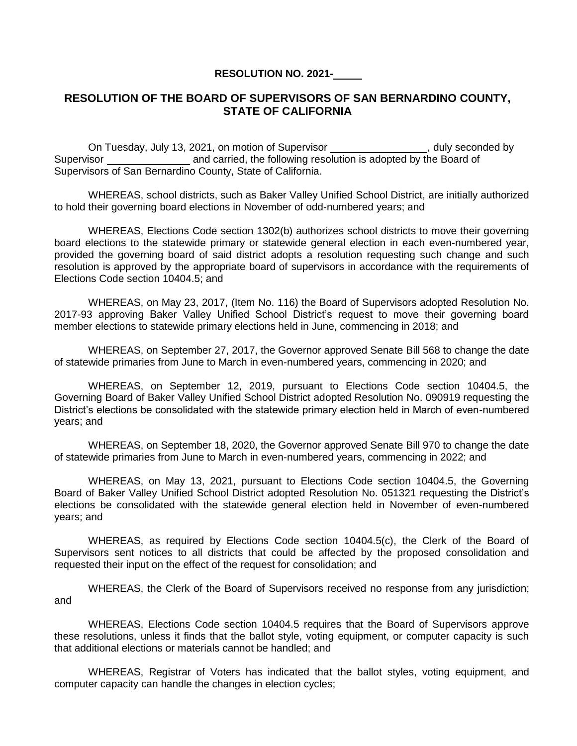## **RESOLUTION NO. 2021-**

## **RESOLUTION OF THE BOARD OF SUPERVISORS OF SAN BERNARDINO COUNTY, STATE OF CALIFORNIA**

On Tuesday, July 13, 2021, on motion of Supervisor **configuration**, duly seconded by Supervisor and carried, the following resolution is adopted by the Board of Supervisors of San Bernardino County, State of California.

WHEREAS, school districts, such as Baker Valley Unified School District, are initially authorized to hold their governing board elections in November of odd-numbered years; and

WHEREAS, Elections Code section 1302(b) authorizes school districts to move their governing board elections to the statewide primary or statewide general election in each even-numbered year, provided the governing board of said district adopts a resolution requesting such change and such resolution is approved by the appropriate board of supervisors in accordance with the requirements of Elections Code section 10404.5; and

WHEREAS, on May 23, 2017, (Item No. 116) the Board of Supervisors adopted Resolution No. 2017-93 approving Baker Valley Unified School District's request to move their governing board member elections to statewide primary elections held in June, commencing in 2018; and

WHEREAS, on September 27, 2017, the Governor approved Senate Bill 568 to change the date of statewide primaries from June to March in even-numbered years, commencing in 2020; and

WHEREAS, on September 12, 2019, pursuant to Elections Code section 10404.5, the Governing Board of Baker Valley Unified School District adopted Resolution No. 090919 requesting the District's elections be consolidated with the statewide primary election held in March of even-numbered years; and

WHEREAS, on September 18, 2020, the Governor approved Senate Bill 970 to change the date of statewide primaries from June to March in even-numbered years, commencing in 2022; and

WHEREAS, on May 13, 2021, pursuant to Elections Code section 10404.5, the Governing Board of Baker Valley Unified School District adopted Resolution No. 051321 requesting the District's elections be consolidated with the statewide general election held in November of even-numbered years; and

WHEREAS, as required by Elections Code section 10404.5(c), the Clerk of the Board of Supervisors sent notices to all districts that could be affected by the proposed consolidation and requested their input on the effect of the request for consolidation; and

WHEREAS, the Clerk of the Board of Supervisors received no response from any jurisdiction; and

WHEREAS, Elections Code section 10404.5 requires that the Board of Supervisors approve these resolutions, unless it finds that the ballot style, voting equipment, or computer capacity is such that additional elections or materials cannot be handled; and

WHEREAS, Registrar of Voters has indicated that the ballot styles, voting equipment, and computer capacity can handle the changes in election cycles;